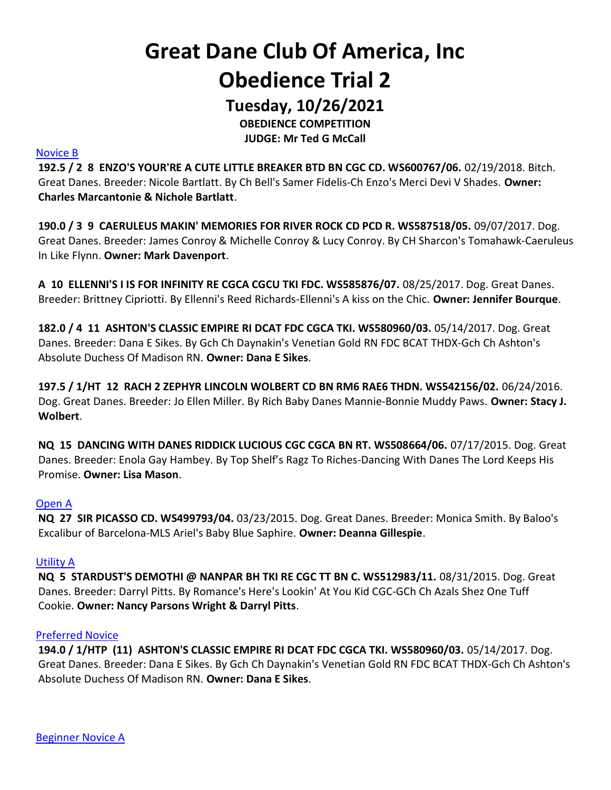# Great Dane Club Of America, Inc Obedience Trial 2

Tuesday, 10/26/2021

OBEDIENCE COMPETITION JUDGE: Mr Ted G McCall

#### Novice B

192.5 / 2 8 ENZO'S YOUR'RE A CUTE LITTLE BREAKER BTD BN CGC CD. WS600767/06. 02/19/2018. Bitch. Great Danes. Breeder: Nicole Bartlatt. By Ch Bell's Samer Fidelis-Ch Enzo's Merci Devi V Shades. Owner: Charles Marcantonie & Nichole Bartlatt.

190.0 / 3 9 CAERULEUS MAKIN' MEMORIES FOR RIVER ROCK CD PCD R. WS587518/05. 09/07/2017. Dog. Great Danes. Breeder: James Conroy & Michelle Conroy & Lucy Conroy. By CH Sharcon's Tomahawk-Caeruleus In Like Flynn. Owner: Mark Davenport.

A 10 ELLENNI'S I IS FOR INFINITY RE CGCA CGCU TKI FDC. WS585876/07. 08/25/2017. Dog. Great Danes. Breeder: Brittney Cipriotti. By Ellenni's Reed Richards-Ellenni's A kiss on the Chic. Owner: Jennifer Bourque.

182.0 / 4 11 ASHTON'S CLASSIC EMPIRE RI DCAT FDC CGCA TKI. WS580960/03. 05/14/2017. Dog. Great Danes. Breeder: Dana E Sikes. By Gch Ch Daynakin's Venetian Gold RN FDC BCAT THDX-Gch Ch Ashton's Absolute Duchess Of Madison RN. Owner: Dana E Sikes.

197.5 / 1/HT 12 RACH 2 ZEPHYR LINCOLN WOLBERT CD BN RM6 RAE6 THDN. WS542156/02. 06/24/2016. Dog. Great Danes. Breeder: Jo Ellen Miller. By Rich Baby Danes Mannie-Bonnie Muddy Paws. Owner: Stacy J. Wolbert.

NQ 15 DANCING WITH DANES RIDDICK LUCIOUS CGC CGCA BN RT. WS508664/06. 07/17/2015. Dog. Great Danes. Breeder: Enola Gay Hambey. By Top Shelf's Ragz To Riches-Dancing With Danes The Lord Keeps His Promise. Owner: Lisa Mason.

#### Open A

NQ 27 SIR PICASSO CD. WS499793/04. 03/23/2015. Dog. Great Danes. Breeder: Monica Smith. By Baloo's Excalibur of Barcelona-MLS Ariel's Baby Blue Saphire. Owner: Deanna Gillespie.

#### Utility A

NQ 5 STARDUST'S DEMOTHI @ NANPAR BH TKI RE CGC TT BN C. WS512983/11. 08/31/2015. Dog. Great Danes. Breeder: Darryl Pitts. By Romance's Here's Lookin' At You Kid CGC-GCh Ch Azals Shez One Tuff Cookie. Owner: Nancy Parsons Wright & Darryl Pitts.

#### Preferred Novice

194.0 / 1/HTP (11) ASHTON'S CLASSIC EMPIRE RI DCAT FDC CGCA TKI. WS580960/03. 05/14/2017. Dog. Great Danes. Breeder: Dana E Sikes. By Gch Ch Daynakin's Venetian Gold RN FDC BCAT THDX-Gch Ch Ashton's Absolute Duchess Of Madison RN. Owner: Dana E Sikes.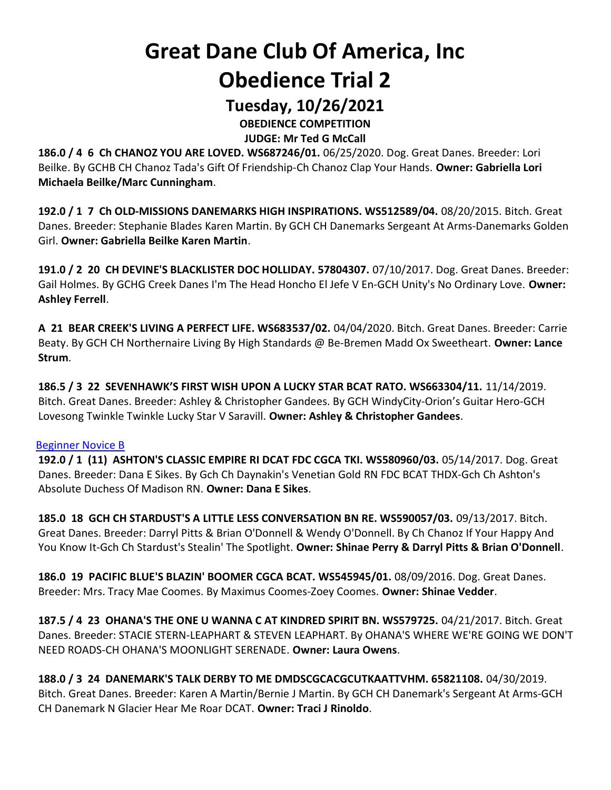## Great Dane Club Of America, Inc Obedience Trial 2

### Tuesday, 10/26/2021

OBEDIENCE COMPETITION

JUDGE: Mr Ted G McCall

186.0 / 4 6 Ch CHANOZ YOU ARE LOVED. WS687246/01. 06/25/2020. Dog. Great Danes. Breeder: Lori Beilke. By GCHB CH Chanoz Tada's Gift Of Friendship-Ch Chanoz Clap Your Hands. Owner: Gabriella Lori Michaela Beilke/Marc Cunningham.

192.0 / 1 7 Ch OLD-MISSIONS DANEMARKS HIGH INSPIRATIONS. WS512589/04. 08/20/2015. Bitch. Great Danes. Breeder: Stephanie Blades Karen Martin. By GCH CH Danemarks Sergeant At Arms-Danemarks Golden Girl. Owner: Gabriella Beilke Karen Martin.

191.0 / 2 20 CH DEVINE'S BLACKLISTER DOC HOLLIDAY. 57804307. 07/10/2017. Dog. Great Danes. Breeder: Gail Holmes. By GCHG Creek Danes I'm The Head Honcho El Jefe V En-GCH Unity's No Ordinary Love. Owner: Ashley Ferrell.

A 21 BEAR CREEK'S LIVING A PERFECT LIFE. WS683537/02. 04/04/2020. Bitch. Great Danes. Breeder: Carrie Beaty. By GCH CH Northernaire Living By High Standards @ Be-Bremen Madd Ox Sweetheart. Owner: Lance Strum.

186.5 / 3 22 SEVENHAWK'S FIRST WISH UPON A LUCKY STAR BCAT RATO. WS663304/11. 11/14/2019. Bitch. Great Danes. Breeder: Ashley & Christopher Gandees. By GCH WindyCity-Orion's Guitar Hero-GCH Lovesong Twinkle Twinkle Lucky Star V Saravill. Owner: Ashley & Christopher Gandees.

#### Beginner Novice B

192.0 / 1 (11) ASHTON'S CLASSIC EMPIRE RI DCAT FDC CGCA TKI. WS580960/03. 05/14/2017. Dog. Great Danes. Breeder: Dana E Sikes. By Gch Ch Daynakin's Venetian Gold RN FDC BCAT THDX-Gch Ch Ashton's Absolute Duchess Of Madison RN. Owner: Dana E Sikes.

185.0 18 GCH CH STARDUST'S A LITTLE LESS CONVERSATION BN RE. WS590057/03. 09/13/2017. Bitch. Great Danes. Breeder: Darryl Pitts & Brian O'Donnell & Wendy O'Donnell. By Ch Chanoz If Your Happy And You Know It-Gch Ch Stardust's Stealin' The Spotlight. Owner: Shinae Perry & Darryl Pitts & Brian O'Donnell.

186.0 19 PACIFIC BLUE'S BLAZIN' BOOMER CGCA BCAT. WS545945/01. 08/09/2016. Dog. Great Danes. Breeder: Mrs. Tracy Mae Coomes. By Maximus Coomes-Zoey Coomes. Owner: Shinae Vedder.

187.5 / 4 23 OHANA'S THE ONE U WANNA C AT KINDRED SPIRIT BN. WS579725. 04/21/2017. Bitch. Great Danes. Breeder: STACIE STERN-LEAPHART & STEVEN LEAPHART. By OHANA'S WHERE WE'RE GOING WE DON'T NEED ROADS-CH OHANA'S MOONLIGHT SERENADE. Owner: Laura Owens.

188.0 / 3 24 DANEMARK'S TALK DERBY TO ME DMDSCGCACGCUTKAATTVHM. 65821108. 04/30/2019. Bitch. Great Danes. Breeder: Karen A Martin/Bernie J Martin. By GCH CH Danemark's Sergeant At Arms-GCH CH Danemark N Glacier Hear Me Roar DCAT. Owner: Traci J Rinoldo.